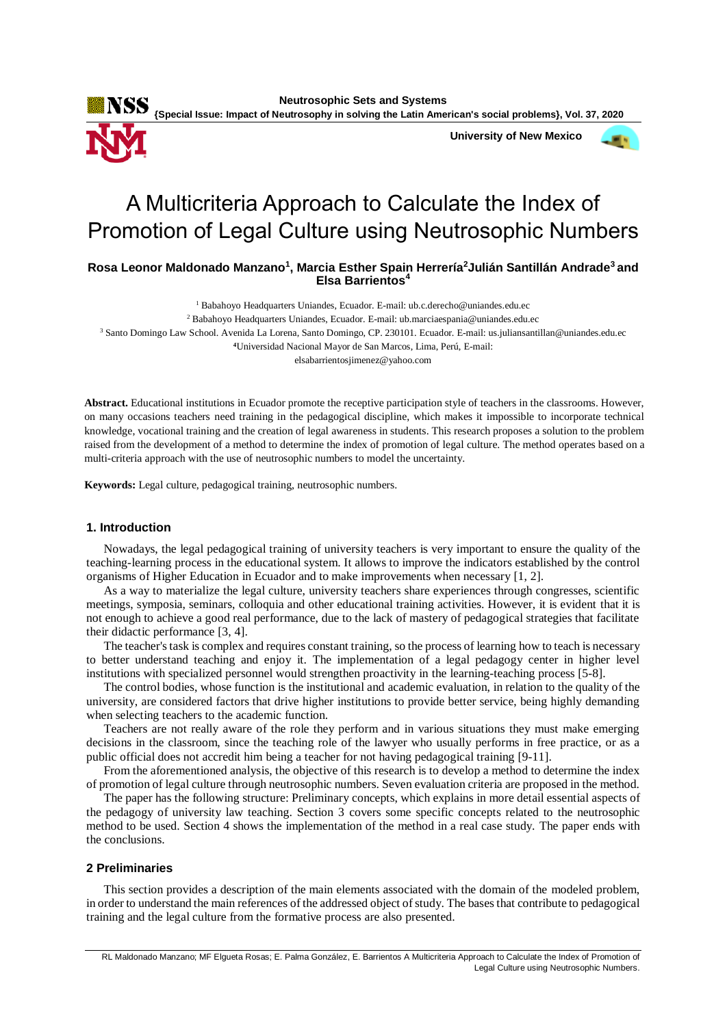**Neutrosophic Sets and Systems**

**KSS**<br>*{Special Issue: Impact of Neutrosophy in solving the Latin American's social problems}, Vol. 37, 2020* 

 **University of New Mexico**



# **Rosa Leonor Maldonado Manzano<sup>1</sup> , Marcia Esther Spain Herrería<sup>2</sup>Julián Santillán Andrade<sup>3</sup> and Elsa Barrientos<sup>4</sup>**

<sup>1</sup> Babahoyo Headquarters Uniandes, Ecuador. E-mail: ub.c.derecho@uniandes.edu.ec

 $2$  Babahoyo Headquarters Uniandes, Ecuador. E-mail: ub.marciaespania@uniandes.edu.ec

<sup>3</sup> Santo Domingo Law School. Avenida La Lorena, Santo Domingo, CP. 230101. Ecuador. E-mail: us.juliansantillan@uniandes.edu.ec

**<sup>4</sup>**Universidad Nacional Mayor de San Marcos, Lima, Perú, E-mail:

elsabarrientosjimenez@yahoo.com

**Abstract.** Educational institutions in Ecuador promote the receptive participation style of teachers in the classrooms. However, on many occasions teachers need training in the pedagogical discipline, which makes it impossible to incorporate technical knowledge, vocational training and the creation of legal awareness in students. This research proposes a solution to the problem raised from the development of a method to determine the index of promotion of legal culture. The method operates based on a multi-criteria approach with the use of neutrosophic numbers to model the uncertainty.

**Keywords:** Legal culture, pedagogical training, neutrosophic numbers.

### **1. Introduction**

Nowadays, the legal pedagogical training of university teachers is very important to ensure the quality of the teaching-learning process in the educational system. It allows to improve the indicators established by the control organisms of Higher Education in Ecuador and to make improvements when necessary [1, 2].

As a way to materialize the legal culture, university teachers share experiences through congresses, scientific meetings, symposia, seminars, colloquia and other educational training activities. However, it is evident that it is not enough to achieve a good real performance, due to the lack of mastery of pedagogical strategies that facilitate their didactic performance [\[3,](#page-5-0) [4\]](#page-5-1).

The teacher's task is complex and requires constant training, so the process of learning how to teach is necessary to better understand teaching and enjoy it. The implementation of a legal pedagogy center in higher level institutions with specialized personnel would strengthen proactivity in the learning-teaching process [\[5-8\]](#page-5-2).

The control bodies, whose function is the institutional and academic evaluation, in relation to the quality of the university, are considered factors that drive higher institutions to provide better service, being highly demanding when selecting teachers to the academic function.

Teachers are not really aware of the role they perform and in various situations they must make emerging decisions in the classroom, since the teaching role of the lawyer who usually performs in free practice, or as a public official does not accredit him being a teacher for not having pedagogical training [\[9-11\]](#page-5-3).

From the aforementioned analysis, the objective of this research is to develop a method to determine the index of promotion of legal culture through neutrosophic numbers. Seven evaluation criteria are proposed in the method.

The paper has the following structure: Preliminary concepts, which explains in more detail essential aspects of the pedagogy of university law teaching. Section 3 covers some specific concepts related to the neutrosophic method to be used. Section 4 shows the implementation of the method in a real case study. The paper ends with the conclusions.

#### **2 Preliminaries**

This section provides a description of the main elements associated with the domain of the modeled problem, in order to understand the main references of the addressed object of study. The bases that contribute to pedagogical training and the legal culture from the formative process are also presented.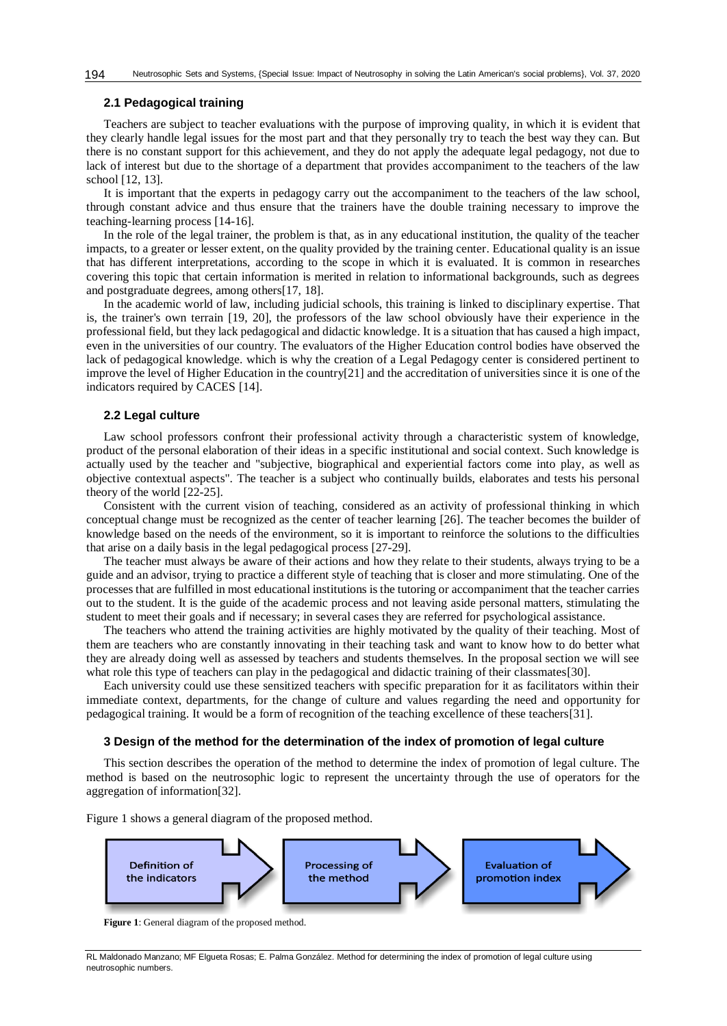## **2.1 Pedagogical training**

Teachers are subject to teacher evaluations with the purpose of improving quality, in which it is evident that they clearly handle legal issues for the most part and that they personally try to teach the best way they can. But there is no constant support for this achievement, and they do not apply the adequate legal pedagogy, not due to lack of interest but due to the shortage of a department that provides accompaniment to the teachers of the law school [\[12,](#page-5-4) [13\]](#page-5-5).

It is important that the experts in pedagogy carry out the accompaniment to the teachers of the law school, through constant advice and thus ensure that the trainers have the double training necessary to improve the teaching-learning process [\[14-16\]](#page-5-6).

In the role of the legal trainer, the problem is that, as in any educational institution, the quality of the teacher impacts, to a greater or lesser extent, on the quality provided by the training center. Educational quality is an issue that has different interpretations, according to the scope in which it is evaluated. It is common in researches covering this topic that certain information is merited in relation to informational backgrounds, such as degrees and postgraduate degrees, among others[\[17,](#page-5-7) [18\]](#page-5-8).

In the academic world of law, including judicial schools, this training is linked to disciplinary expertise. That is, the trainer's own terrain [\[19,](#page-5-9) 20], the professors of the law school obviously have their experience in the professional field, but they lack pedagogical and didactic knowledge. It is a situation that has caused a high impact, even in the universities of our country. The evaluators of the Higher Education control bodies have observed the lack of pedagogical knowledge. which is why the creation of a Legal Pedagogy center is considered pertinent to improve the level of Higher Education in the country[21] and the accreditation of universities since it is one of the indicators required by CACES [\[14\]](#page-5-6).

#### **2.2 Legal culture**

Law school professors confront their professional activity through a characteristic system of knowledge, product of the personal elaboration of their ideas in a specific institutional and social context. Such knowledge is actually used by the teacher and "subjective, biographical and experiential factors come into play, as well as objective contextual aspects". The teacher is a subject who continually builds, elaborates and tests his personal theory of the world [\[22-25\]](#page-6-0).

Consistent with the current vision of teaching, considered as an activity of professional thinking in which conceptual change must be recognized as the center of teacher learning [\[26\]](#page-6-1). The teacher becomes the builder of knowledge based on the needs of the environment, so it is important to reinforce the solutions to the difficulties that arise on a daily basis in the legal pedagogical process [\[27-29\]](#page-6-2).

The teacher must always be aware of their actions and how they relate to their students, always trying to be a guide and an advisor, trying to practice a different style of teaching that is closer and more stimulating. One of the processes that are fulfilled in most educational institutions is the tutoring or accompaniment that the teacher carries out to the student. It is the guide of the academic process and not leaving aside personal matters, stimulating the student to meet their goals and if necessary; in several cases they are referred for psychological assistance.

The teachers who attend the training activities are highly motivated by the quality of their teaching. Most of them are teachers who are constantly innovating in their teaching task and want to know how to do better what they are already doing well as assessed by teachers and students themselves. In the proposal section we will see what role this type of teachers can play in the pedagogical and didactic training of their classmates[\[30\]](#page-6-3).

Each university could use these sensitized teachers with specific preparation for it as facilitators within their immediate context, departments, for the change of culture and values regarding the need and opportunity for pedagogical training. It would be a form of recognition of the teaching excellence of these teachers[\[31\]](#page-6-4).

### **3 Design of the method for the determination of the index of promotion of legal culture**

This section describes the operation of the method to determine the index of promotion of legal culture. The method is based on the neutrosophic logic to represent the uncertainty through the use of operators for the aggregation of information[\[32\]](#page-6-5).

Figure 1 shows a general diagram of the proposed method.



**Figure 1**: General diagram of the proposed method.

RL Maldonado Manzano; MF Elgueta Rosas; E. Palma González. Method for determining the index of promotion of legal culture using neutrosophic numbers.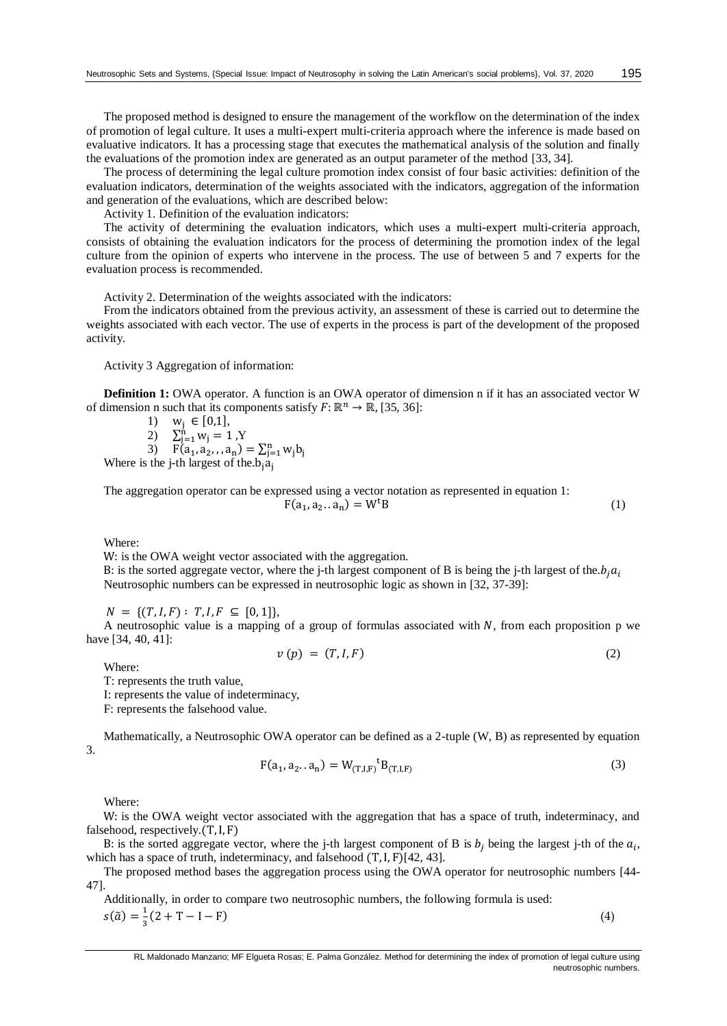The proposed method is designed to ensure the management of the workflow on the determination of the index of promotion of legal culture. It uses a multi-expert multi-criteria approach where the inference is made based on evaluative indicators. It has a processing stage that executes the mathematical analysis of the solution and finally the evaluations of the promotion index are generated as an output parameter of the method [\[33,](#page-6-6) [34\]](#page-6-7).

The process of determining the legal culture promotion index consist of four basic activities: definition of the evaluation indicators, determination of the weights associated with the indicators, aggregation of the information and generation of the evaluations, which are described below:

Activity 1. Definition of the evaluation indicators:

The activity of determining the evaluation indicators, which uses a multi-expert multi-criteria approach, consists of obtaining the evaluation indicators for the process of determining the promotion index of the legal culture from the opinion of experts who intervene in the process. The use of between 5 and 7 experts for the evaluation process is recommended.

Activity 2. Determination of the weights associated with the indicators:

From the indicators obtained from the previous activity, an assessment of these is carried out to determine the weights associated with each vector. The use of experts in the process is part of the development of the proposed activity.

Activity 3 Aggregation of information:

**Definition 1:** OWA operator. A function is an OWA operator of dimension n if it has an associated vector W of dimension n such that its components satisfy  $F: \mathbb{R}^n \to \mathbb{R}$ , [\[35,](#page-6-8) [36\]](#page-6-9):

$$
1) \quad w_j \in [0,1],
$$

$$
2) \quad \sum_{j=1}^{n} w_j = 1 \cdot Y
$$

3)  $F(a_1, a_2, a_n) = \sum_{j=1}^n w_j b_j$ <br>Where is the j-th largest of the  $b_j a_j$ 

The aggregation operator can be expressed using a vector notation as represented in equation 1:

 $F(a_1, a_2... a_n) = W^t B$  (1)

Where:

W: is the OWA weight vector associated with the aggregation.

B: is the sorted aggregate vector, where the j-th largest component of B is being the j-th largest of the. $b_i a_i$ Neutrosophic numbers can be expressed in neutrosophic logic as shown in [\[32,](#page-6-5) [37-39\]](#page-6-10):

 $N = \{(T, I, F): T, I, F \subseteq [0, 1]\},\$ 

A neutrosophic value is a mapping of a group of formulas associated with  $N$ , from each proposition p we have [\[34,](#page-6-7) [40,](#page-6-11) [41\]](#page-6-12):

$$
v(p) = (T, I, F) \tag{2}
$$

Where:

T: represents the truth value,

I: represents the value of indeterminacy,

F: represents the falsehood value.

Mathematically, a Neutrosophic OWA operator can be defined as a 2-tuple (W, B) as represented by equation 3.

$$
F(a_1, a_2 \dots a_n) = W_{(T,I,F)}^{t} B_{(T,I,F)}
$$
\n(3)

Where:

W: is the OWA weight vector associated with the aggregation that has a space of truth, indeterminacy, and falsehood, respectively.(T,I, F)

B: is the sorted aggregate vector, where the j-th largest component of B is  $b_j$  being the largest j-th of the  $a_i$ , which has a space of truth, indeterminacy, and falsehood  $(T, I, F)[42, 43]$  $(T, I, F)[42, 43]$  $(T, I, F)[42, 43]$ .

The proposed method bases the aggregation process using the OWA operator for neutrosophic numbers [\[44-](#page-6-15) [47\]](#page-6-15).

Additionally, in order to compare two neutrosophic numbers, the following formula is used:

 $s(\tilde{a}) = \frac{1}{2}$  $\frac{1}{3}(2+T-I-F)$  (4)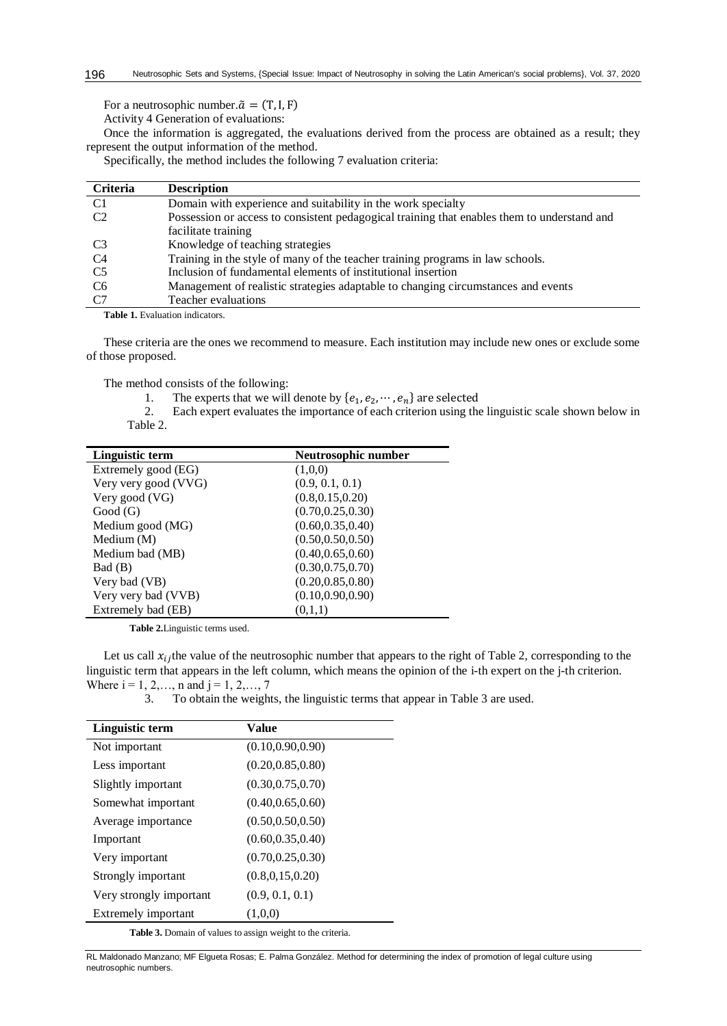For a neutrosophic number. $\tilde{a} = (T, I, F)$ 

Activity 4 Generation of evaluations:

Once the information is aggregated, the evaluations derived from the process are obtained as a result; they represent the output information of the method.

Specifically, the method includes the following 7 evaluation criteria:

| <b>Criteria</b> | <b>Description</b>                                                                          |
|-----------------|---------------------------------------------------------------------------------------------|
| C <sub>1</sub>  | Domain with experience and suitability in the work specialty                                |
| C <sub>2</sub>  | Possession or access to consistent pedagogical training that enables them to understand and |
|                 | facilitate training                                                                         |
| C <sub>3</sub>  | Knowledge of teaching strategies                                                            |
| C4              | Training in the style of many of the teacher training programs in law schools.              |
| C <sub>5</sub>  | Inclusion of fundamental elements of institutional insertion                                |
| C <sub>6</sub>  | Management of realistic strategies adaptable to changing circumstances and events           |
| C7              | Teacher evaluations                                                                         |

Table 1. Evaluation indicators.

These criteria are the ones we recommend to measure. Each institution may include new ones or exclude some of those proposed.

The method consists of the following:

- 1. The experts that we will denote by  $\{e_1, e_2, \dots, e_n\}$  are selected
- 2. Each expert evaluates the importance of each criterion using the linguistic scale shown below in Table 2.

| Linguistic term      | Neutrosophic number |
|----------------------|---------------------|
| Extremely good (EG)  | (1,0,0)             |
| Very very good (VVG) | (0.9, 0.1, 0.1)     |
| Very good (VG)       | (0.8, 0.15, 0.20)   |
| Good(G)              | (0.70, 0.25, 0.30)  |
| Medium good (MG)     | (0.60, 0.35, 0.40)  |
| Medium $(M)$         | (0.50, 0.50, 0.50)  |
| Medium bad (MB)      | (0.40, 0.65, 0.60)  |
| Bad (B)              | (0.30, 0.75, 0.70)  |
| Very bad (VB)        | (0.20, 0.85, 0.80)  |
| Very very bad (VVB)  | (0.10, 0.90, 0.90)  |
| Extremely bad (EB)   | (0,1,1)             |

**Table 2.**Linguistic terms used.

Let us call  $x_{ij}$  the value of the neutrosophic number that appears to the right of Table 2, corresponding to the linguistic term that appears in the left column, which means the opinion of the i-th expert on the j-th criterion. Where  $i = 1, 2, \dots, n$  and  $j = 1, 2, \dots, 7$ 

3. To obtain the weights, the linguistic terms that appear in Table 3 are used.

| Linguistic term         | Value              |
|-------------------------|--------------------|
| Not important           | (0.10, 0.90, 0.90) |
| Less important          | (0.20, 0.85, 0.80) |
| Slightly important      | (0.30, 0.75, 0.70) |
| Somewhat important      | (0.40, 0.65, 0.60) |
| Average importance      | (0.50, 0.50, 0.50) |
| Important               | (0.60, 0.35, 0.40) |
| Very important          | (0.70, 0.25, 0.30) |
| Strongly important      | (0.8, 0.15, 0.20)  |
| Very strongly important | (0.9, 0.1, 0.1)    |
| Extremely important     | (1,0,0)            |

**Table 3.** Domain of values to assign weight to the criteria.

RL Maldonado Manzano; MF Elgueta Rosas; E. Palma González. Method for determining the index of promotion of legal culture using neutrosophic numbers.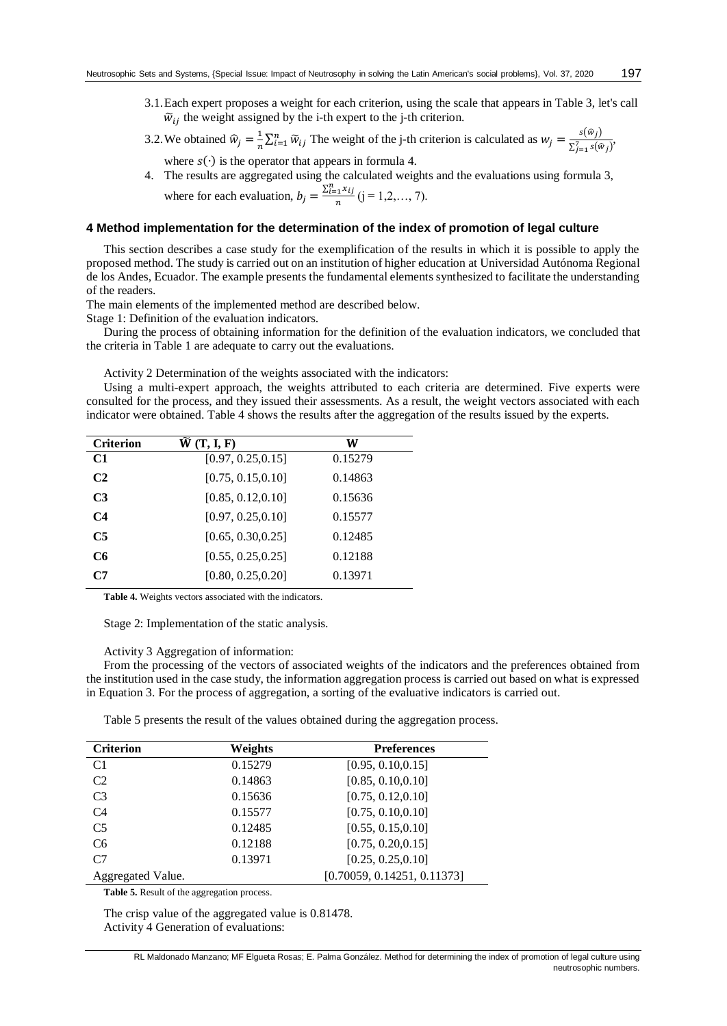3.1.Each expert proposes a weight for each criterion, using the scale that appears in Table 3, let's call  $\widetilde{w}_{ij}$  the weight assigned by the i-th expert to the j-th criterion.

3.2. We obtained 
$$
\hat{w}_j = \frac{1}{n} \sum_{i=1}^n \tilde{w}_{ij}
$$
 The weight of the j-th criterion is calculated as  $w_j = \frac{s(\hat{w}_j)}{\sum_{j=1}^7 s(\hat{w}_j)}$ , where  $s(\cdot)$  is the operator that appears in formula 4.

4. The results are aggregated using the calculated weights and the evaluations using formula 3, where for each evaluation,  $b_j = \frac{\sum_{i=1}^n x_{ij}}{n}$  $\frac{n^{1/2}+1}{n}$  (j = 1,2,..., 7).

### **4 Method implementation for the determination of the index of promotion of legal culture**

This section describes a case study for the exemplification of the results in which it is possible to apply the proposed method. The study is carried out on an institution of higher education at Universidad Autónoma Regional de los Andes, Ecuador. The example presents the fundamental elements synthesized to facilitate the understanding of the readers.

The main elements of the implemented method are described below.

Stage 1: Definition of the evaluation indicators.

During the process of obtaining information for the definition of the evaluation indicators, we concluded that the criteria in Table 1 are adequate to carry out the evaluations.

Activity 2 Determination of the weights associated with the indicators:

Using a multi-expert approach, the weights attributed to each criteria are determined. Five experts were consulted for the process, and they issued their assessments. As a result, the weight vectors associated with each indicator were obtained. Table 4 shows the results after the aggregation of the results issued by the experts.

| <b>Criterion</b> | $\widetilde{W}(T, I, F)$ | W       |
|------------------|--------------------------|---------|
| C1               | [0.97, 0.25, 0.15]       | 0.15279 |
| C <sub>2</sub>   | [0.75, 0.15, 0.10]       | 0.14863 |
| C <sub>3</sub>   | [0.85, 0.12, 0.10]       | 0.15636 |
| C <sub>4</sub>   | [0.97, 0.25, 0.10]       | 0.15577 |
| C <sub>5</sub>   | [0.65, 0.30, 0.25]       | 0.12485 |
| C6               | [0.55, 0.25, 0.25]       | 0.12188 |
| C7               | [0.80, 0.25, 0.20]       | 0.13971 |

**Table 4.** Weights vectors associated with the indicators.

Stage 2: Implementation of the static analysis.

#### Activity 3 Aggregation of information:

From the processing of the vectors of associated weights of the indicators and the preferences obtained from the institution used in the case study, the information aggregation process is carried out based on what is expressed in Equation 3. For the process of aggregation, a sorting of the evaluative indicators is carried out.

Table 5 presents the result of the values obtained during the aggregation process.

| <b>Criterion</b>  | Weights | <b>Preferences</b>          |
|-------------------|---------|-----------------------------|
| C <sub>1</sub>    | 0.15279 | [0.95, 0.10, 0.15]          |
| C <sub>2</sub>    | 0.14863 | [0.85, 0.10, 0.10]          |
| C <sub>3</sub>    | 0.15636 | [0.75, 0.12, 0.10]          |
| C <sub>4</sub>    | 0.15577 | [0.75, 0.10, 0.10]          |
| C <sub>5</sub>    | 0.12485 | [0.55, 0.15, 0.10]          |
| C <sub>6</sub>    | 0.12188 | [0.75, 0.20, 0.15]          |
| C <sub>7</sub>    | 0.13971 | [0.25, 0.25, 0.10]          |
| Aggregated Value. |         | [0.70059, 0.14251, 0.11373] |

**Table 5.** Result of the aggregation process.

The crisp value of the aggregated value is 0.81478. Activity 4 Generation of evaluations: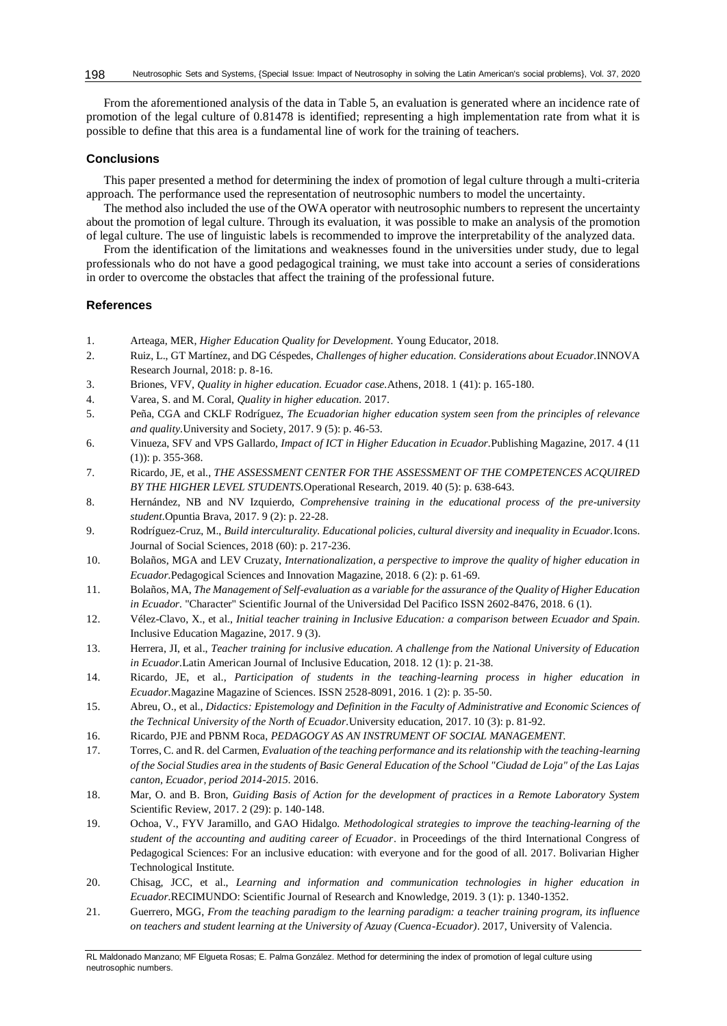From the aforementioned analysis of the data in Table 5, an evaluation is generated where an incidence rate of promotion of the legal culture of 0.81478 is identified; representing a high implementation rate from what it is possible to define that this area is a fundamental line of work for the training of teachers.

## **Conclusions**

This paper presented a method for determining the index of promotion of legal culture through a multi-criteria approach. The performance used the representation of neutrosophic numbers to model the uncertainty.

The method also included the use of the OWA operator with neutrosophic numbers to represent the uncertainty about the promotion of legal culture. Through its evaluation, it was possible to make an analysis of the promotion of legal culture. The use of linguistic labels is recommended to improve the interpretability of the analyzed data.

From the identification of the limitations and weaknesses found in the universities under study, due to legal professionals who do not have a good pedagogical training, we must take into account a series of considerations in order to overcome the obstacles that affect the training of the professional future.

## **References**

- 1. Arteaga, MER, *Higher Education Quality for Development.* Young Educator, 2018.
- 2. Ruiz, L., GT Martínez, and DG Céspedes, *Challenges of higher education. Considerations about Ecuador.*INNOVA Research Journal, 2018: p. 8-16.
- <span id="page-5-0"></span>3. Briones, VFV, *Quality in higher education. Ecuador case.*Athens, 2018. 1 (41): p. 165-180.
- <span id="page-5-1"></span>4. Varea, S. and M. Coral, *Quality in higher education.* 2017.
- <span id="page-5-2"></span>5. Peña, CGA and CKLF Rodríguez, *The Ecuadorian higher education system seen from the principles of relevance and quality.*University and Society, 2017. 9 (5): p. 46-53.
- 6. Vinueza, SFV and VPS Gallardo, *Impact of ICT in Higher Education in Ecuador.*Publishing Magazine, 2017. 4 (11 (1)): p. 355-368.
- 7. Ricardo, JE, et al., *THE ASSESSMENT CENTER FOR THE ASSESSMENT OF THE COMPETENCES ACQUIRED BY THE HIGHER LEVEL STUDENTS.*Operational Research, 2019. 40 (5): p. 638-643.
- 8. Hernández, NB and NV Izquierdo, *Comprehensive training in the educational process of the pre-university student.*Opuntia Brava, 2017. 9 (2): p. 22-28.
- <span id="page-5-3"></span>9. Rodríguez-Cruz, M., *Build interculturality. Educational policies, cultural diversity and inequality in Ecuador.*Icons. Journal of Social Sciences, 2018 (60): p. 217-236.
- 10. Bolaños, MGA and LEV Cruzaty, *Internationalization, a perspective to improve the quality of higher education in Ecuador.*Pedagogical Sciences and Innovation Magazine, 2018. 6 (2): p. 61-69.
- 11. Bolaños, MA, *The Management of Self-evaluation as a variable for the assurance of the Quality of Higher Education in Ecuador.* "Character" Scientific Journal of the Universidad Del Pacifico ISSN 2602-8476, 2018. 6 (1).
- <span id="page-5-4"></span>12. Vélez-Clavo, X., et al., *Initial teacher training in Inclusive Education: a comparison between Ecuador and Spain.* Inclusive Education Magazine, 2017. 9 (3).
- <span id="page-5-5"></span>13. Herrera, JI, et al., *Teacher training for inclusive education. A challenge from the National University of Education in Ecuador.*Latin American Journal of Inclusive Education, 2018. 12 (1): p. 21-38.
- <span id="page-5-6"></span>14. Ricardo, JE, et al., *Participation of students in the teaching-learning process in higher education in Ecuador.*Magazine Magazine of Sciences. ISSN 2528-8091, 2016. 1 (2): p. 35-50.
- 15. Abreu, O., et al., *Didactics: Epistemology and Definition in the Faculty of Administrative and Economic Sciences of the Technical University of the North of Ecuador.*University education, 2017. 10 (3): p. 81-92.
- 16. Ricardo, PJE and PBNM Roca, *PEDAGOGY AS AN INSTRUMENT OF SOCIAL MANAGEMENT.*
- <span id="page-5-7"></span>17. Torres, C. and R. del Carmen, *Evaluation of the teaching performance and its relationship with the teaching-learning of the Social Studies area in the students of Basic General Education of the School "Ciudad de Loja" of the Las Lajas canton, Ecuador, period 2014-2015.* 2016.
- <span id="page-5-8"></span>18. Mar, O. and B. Bron, *Guiding Basis of Action for the development of practices in a Remote Laboratory System*  Scientific Review, 2017. 2 (29): p. 140-148.
- <span id="page-5-9"></span>19. Ochoa, V., FYV Jaramillo, and GAO Hidalgo. *Methodological strategies to improve the teaching-learning of the student of the accounting and auditing career of Ecuador*. in Proceedings of the third International Congress of Pedagogical Sciences: For an inclusive education: with everyone and for the good of all. 2017. Bolivarian Higher Technological Institute.
- 20. Chisag, JCC, et al., *Learning and information and communication technologies in higher education in Ecuador.*RECIMUNDO: Scientific Journal of Research and Knowledge, 2019. 3 (1): p. 1340-1352.
- 21. Guerrero, MGG, *From the teaching paradigm to the learning paradigm: a teacher training program, its influence on teachers and student learning at the University of Azuay (Cuenca-Ecuador)*. 2017, University of Valencia.